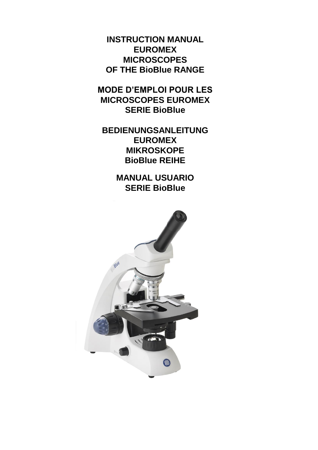**INSTRUCTION MANUAL EUROMEX MICROSCOPES OF THE BioBlue RANGE**

**MODE D'EMPLOI POUR LES MICROSCOPES EUROMEX SERIE BioBlue**

**BEDIENUNGSANLEITUNG EUROMEX MIKROSKOPE BioBlue REIHE**

> **MANUAL USUARIO SERIE BioBlue**

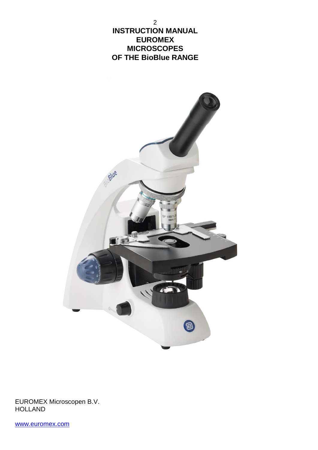2 **INSTRUCTION MANUAL EUROMEX MICROSCOPES OF THE BioBlue RANGE**



EUROMEX Microscopen B.V. HOLLAND

[www.euromex.com](http://www.euromex.nl/)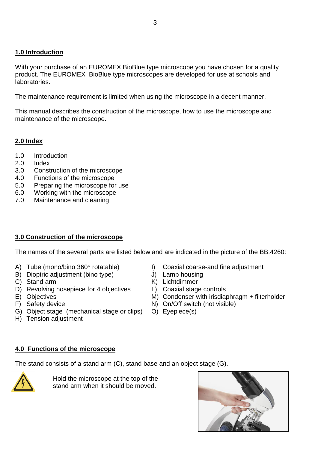## **1.0 Introduction**

With your purchase of an EUROMEX BioBlue type microscope you have chosen for a quality product. The EUROMEX BioBlue type microscopes are developed for use at schools and laboratories.

The maintenance requirement is limited when using the microscope in a decent manner.

This manual describes the construction of the microscope, how to use the microscope and maintenance of the microscope.

## **2.0 Index**

- 1.0 Introduction
- 2.0 Index
- 3.0 Construction of the microscope
- 4.0 Functions of the microscope
- 5.0 Preparing the microscope for use
- 6.0 Working with the microscope
- 7.0 Maintenance and cleaning

## **3.0 Construction of the microscope**

The names of the several parts are listed below and are indicated in the picture of the BB.4260:

- A) Tube (mono/bino 360° rotatable) I) Coaxial coarse-and fine adjustment
- B) Dioptric adjustment (bino type) <br>
C) Stand arm 
(C) Stand arm 
(C) Stand arm 
(C) Stand arm 
(C) Stand arm 
(C) Stand arm 
(C) Stand arm 
(C) Stand arm 
(C) Stand arm 
(C) Stand arm 
(C) Stand arm 
(C) Stand arm 
(C) St
- 
- D) Revolving nosepiece for 4 objectives L) Coaxial stage controls
- 
- 
- G) Object stage (mechanical stage or clips) O) Eyepiece(s)
- H) Tension adjustment
- 
- 
- $K$ ) Lichtdimmer
- 
- E) Objectives M) Condenser with irisdiaphragm + filterholder
- F) Safety device N) On/Off switch (not visible)
	-

## **4.0 Functions of the microscope**

The stand consists of a stand arm (C), stand base and an object stage (G).



Hold the microscope at the top of the stand arm when it should be moved.

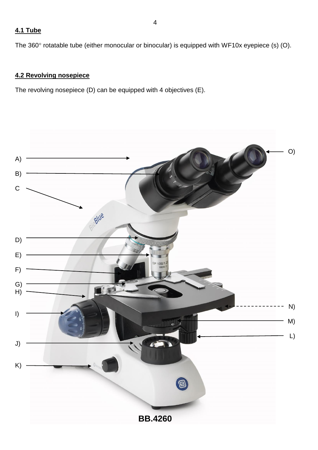## **4.1 Tube**

The 360° rotatable tube (either monocular or binocular) is equipped with WF10x eyepiece (s) (O).

## **4.2 Revolving nosepiece**

The revolving nosepiece (D) can be equipped with 4 objectives (E).

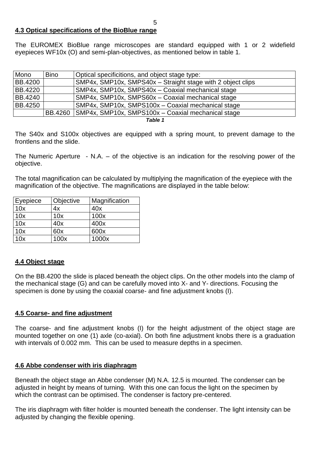## **4.3 Optical specifications of the BioBlue range**

The EUROMEX BioBlue range microscopes are standard equipped with 1 or 2 widefield eyepieces WF10x (O) and semi-plan-objectives, as mentioned below in table 1.

| Mono           | <b>Bino</b> | Optical specificitions, and object stage type:               |  |
|----------------|-------------|--------------------------------------------------------------|--|
| <b>BB.4200</b> |             | SMP4x, SMP10x, SMPS40x - Straight stage with 2 object clips  |  |
| <b>BB.4220</b> |             | SMP4x, SMP10x, SMPS40x - Coaxial mechanical stage            |  |
| BB.4240        |             | SMP4x, SMP10x, SMPS60x - Coaxial mechanical stage            |  |
| BB.4250        |             | SMP4x, SMP10x, SMPS100x - Coaxial mechanical stage           |  |
|                |             | BB.4260   SMP4x, SMP10x, SMPS100x - Coaxial mechanical stage |  |

*Table 1*

The S40x and S100x objectives are equipped with a spring mount, to prevent damage to the frontlens and the slide.

The Numeric Aperture - N.A. – of the objective is an indication for the resolving power of the objective.

The total magnification can be calculated by multiplying the magnification of the eyepiece with the magnification of the objective. The magnifications are displayed in the table below:

| Eyepiece | Objective | Magnification |
|----------|-----------|---------------|
| 10x      | 4x        | 40x           |
| 10x      | 10x       | 100x          |
| 10x      | 40x       | 400x          |
| 10x      | 60x       | 600x          |
| 10x      | 100x      | 1000x         |

## **4.4 Object stage**

On the BB.4200 the slide is placed beneath the object clips. On the other models into the clamp of the mechanical stage (G) and can be carefully moved into X- and Y- directions. Focusing the specimen is done by using the coaxial coarse- and fine adjustment knobs (I).

#### **4.5 Coarse- and fine adjustment**

The coarse- and fine adjustment knobs (I) for the height adjustment of the object stage are mounted together on one (1) axle (co-axial). On both fine adjustment knobs there is a graduation with intervals of 0.002 mm. This can be used to measure depths in a specimen.

#### **4.6 Abbe condenser with iris diaphragm**

Beneath the object stage an Abbe condenser (M) N.A. 12.5 is mounted. The condenser can be adjusted in height by means of turning. With this one can focus the light on the specimen by which the contrast can be optimised. The condenser is factory pre-centered.

The iris diaphragm with filter holder is mounted beneath the condenser. The light intensity can be adjusted by changing the flexible opening.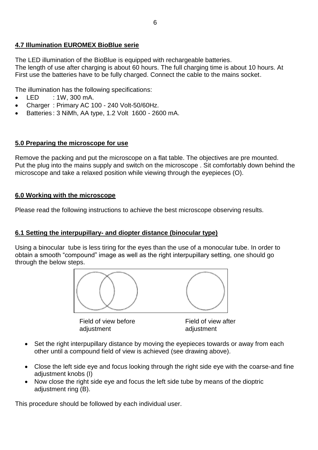## **4.7 Illumination EUROMEX BioBlue serie**

The LED illumination of the BioBlue is equipped with rechargeable batteries. The length of use after charging is about 60 hours. The full charging time is about 10 hours. At First use the batteries have to be fully charged. Connect the cable to the mains socket.

The illumination has the following specifications:

- $\bullet$  LED : 1W, 300 mA.
- Charger: Primary AC 100 240 Volt-50/60Hz.
- Batteries : 3 NiMh, AA type, 1.2 Volt 1600 2600 mA.

#### **5.0 Preparing the microscope for use**

Remove the packing and put the microscope on a flat table. The objectives are pre mounted. Put the plug into the mains supply and switch on the microscope . Sit comfortably down behind the microscope and take a relaxed position while viewing through the eyepieces (O).

#### **6.0 Working with the microscope**

Please read the following instructions to achieve the best microscope observing results.

#### **6.1 Setting the interpupillary- and diopter distance (binocular type)**

Using a binocular tube is less tiring for the eyes than the use of a monocular tube. In order to obtain a smooth "compound" image as well as the right interpupillary setting, one should go through the below steps.



Field of view before Field of view after adjustment adjustment

- Set the right interpupillary distance by moving the eyepieces towards or away from each other until a compound field of view is achieved (see drawing above).
- Close the left side eye and focus looking through the right side eye with the coarse-and fine adjustment knobs (I)
- Now close the right side eye and focus the left side tube by means of the dioptric adjustment ring (B).

This procedure should be followed by each individual user.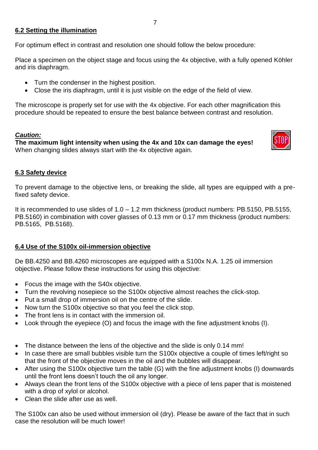## **6.2 Setting the illumination**

For optimum effect in contrast and resolution one should follow the below procedure:

Place a specimen on the object stage and focus using the 4x objective, with a fully opened Köhler and iris diaphragm.

- Turn the condenser in the highest position.
- Close the iris diaphragm, until it is just visible on the edge of the field of view.

The microscope is properly set for use with the 4x objective. For each other magnification this procedure should be repeated to ensure the best balance between contrast and resolution.

## *Caution:*

**The maximum light intensity when using the 4x and 10x can damage the eyes!** When changing slides always start with the 4x objective again.



## **6.3 Safety device**

To prevent damage to the objective lens, or breaking the slide, all types are equipped with a prefixed safety device.

It is recommended to use slides of  $1.0 - 1.2$  mm thickness (product numbers: PB.5150, PB.5155, PB.5160) in combination with cover glasses of 0.13 mm or 0.17 mm thickness (product numbers: PB.5165, PB.5168).

## **6.4 Use of the S100x oil-immersion objective**

De BB.4250 and BB.4260 microscopes are equipped with a S100x N.A. 1.25 oil immersion objective. Please follow these instructions for using this objective:

- Focus the image with the S40x objective.
- Turn the revolving nosepiece so the S100x objective almost reaches the click-stop.
- Put a small drop of immersion oil on the centre of the slide.
- Now turn the S100x objective so that you feel the click stop.
- The front lens is in contact with the immersion oil.
- Look through the eyepiece (O) and focus the image with the fine adjustment knobs (I).
- The distance between the lens of the objective and the slide is only 0.14 mm!
- In case there are small bubbles visible turn the S100x objective a couple of times left/right so that the front of the objective moves in the oil and the bubbles will disappear.
- After using the S100x objective turn the table (G) with the fine adjustment knobs (I) downwards until the front lens doesn't touch the oil any longer.
- Always clean the front lens of the S100x objective with a piece of lens paper that is moistened with a drop of xylol or alcohol.
- Clean the slide after use as well.

The S100x can also be used without immersion oil (dry). Please be aware of the fact that in such case the resolution will be much lower!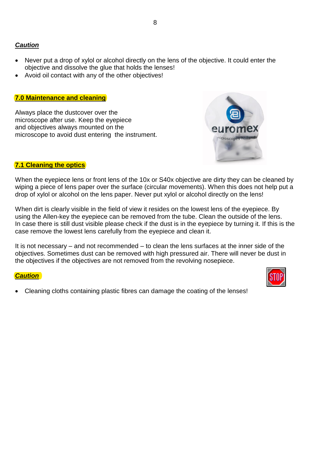## *Caution*

- Never put a drop of xylol or alcohol directly on the lens of the objective. It could enter the objective and dissolve the glue that holds the lenses!
- Avoid oil contact with any of the other objectives!

#### **7.0 Maintenance and cleaning**

Always place the dustcover over the microscope after use. Keep the eyepiece and objectives always mounted on the microscope to avoid dust entering the instrument.



#### **7.1 Cleaning the optics**

When the eyepiece lens or front lens of the 10x or S40x objective are dirty they can be cleaned by wiping a piece of lens paper over the surface (circular movements). When this does not help put a drop of xylol or alcohol on the lens paper. Never put xylol or alcohol directly on the lens!

When dirt is clearly visible in the field of view it resides on the lowest lens of the eyepiece. By using the Allen-key the eyepiece can be removed from the tube. Clean the outside of the lens. In case there is still dust visible please check if the dust is in the eyepiece by turning it. If this is the case remove the lowest lens carefully from the eyepiece and clean it.

It is not necessary – and not recommended – to clean the lens surfaces at the inner side of the objectives. Sometimes dust can be removed with high pressured air. There will never be dust in the objectives if the objectives are not removed from the revolving nosepiece.

#### *Caution*

Cleaning cloths containing plastic fibres can damage the coating of the lenses!

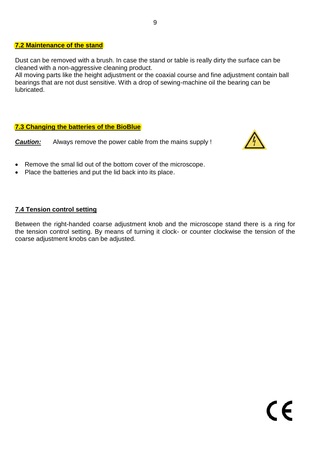#### **7.2 Maintenance of the stand**

Dust can be removed with a brush. In case the stand or table is really dirty the surface can be cleaned with a non-aggressive cleaning product.

All moving parts like the height adjustment or the coaxial course and fine adjustment contain ball bearings that are not dust sensitive. With a drop of sewing-machine oil the bearing can be lubricated.

#### **7.3 Changing the batteries of the BioBlue**

*Caution:* Always remove the power cable from the mains supply !



- Remove the smal lid out of the bottom cover of the microscope.
- Place the batteries and put the lid back into its place.

#### **7.4 Tension control setting**

Between the right-handed coarse adjustment knob and the microscope stand there is a ring for the tension control setting. By means of turning it clock- or counter clockwise the tension of the coarse adjustment knobs can be adjusted.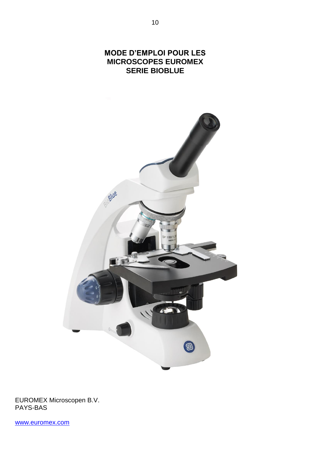

EUROMEX Microscopen B.V. PAYS-BAS

[www.euromex.com](http://www.euromex.nl/)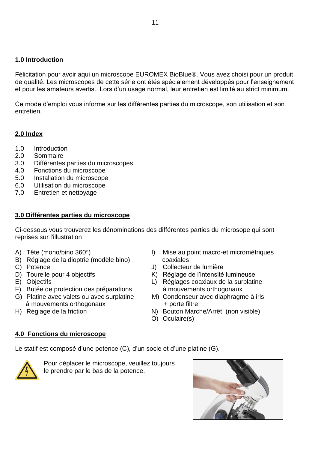### **1.0 Introduction**

Félicitation pour avoir aqui un microscope EUROMEX BioBlue®. Vous avez choisi pour un produit de qualité. Les microscopes de cette série ont étés spécialement développés pour l'enseignement et pour les amateurs avertis. Lors d'un usage normal, leur entretien est limité au strict minimum.

Ce mode d'emploi vous informe sur les différentes parties du microscope, son utilisation et son entretien.

## **2.0 Index**

- 1.0 Introduction
- 2.0 Sommaire
- 3.0 Différentes parties du microscopes
- 4.0 Fonctions du microscope
- 5.0 Installation du microscope
- 6.0 Utilisation du microscope
- 7.0 Entretien et nettoyage

## **3.0 Différentes parties du microscope**

Ci-dessous vous trouverez les dénominations des différentes parties du microsope qui sont reprises sur l'illustration

- 
- B) Réglage de la dioptrie (modèle bino) coaxiales<br>C) Potence (J) Collecteur
- 
- 
- 
- F) Butée de protection des préparations à mouvements orthogonaux
- à mouvements orthogonaux + porte filtre
- 
- A) Tête (mono/bino 360°) **I** Mise au point macro-et micrométriques
	- J) Collecteur de lumière
	-
- D) Tourelle pour 4 objectifs (Calcular Collective K) Réglage de l'intensité lumineuse<br>
E) Objectifs (Calcular Collectifs (Calcular Collectifs (Calcular Collectifs (Calcular Collectifs (Calcular Co L) Réglages coaxiaux de la surplatine
- G) Platine avec valets ou avec surplatine M) Condenseur avec diaphragme à iris
- H) Réglage de la friction N) Bouton Marche/Arrêt (non visible)
	- O) Oculaire(s)

## **4.0 Fonctions du microscope**

Le statif est composé d'une potence (C), d'un socle et d'une platine (G).



 Pour déplacer le microscope, veuillez toujours le prendre par le bas de la potence.

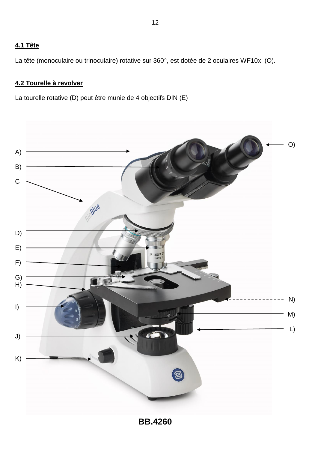## **4.1 Tête**

La tête (monoculaire ou trinoculaire) rotative sur 360°, est dotée de 2 oculaires WF10x (O).

## **4.2 Tourelle à revolver**

La tourelle rotative (D) peut être munie de 4 objectifs DIN (E)

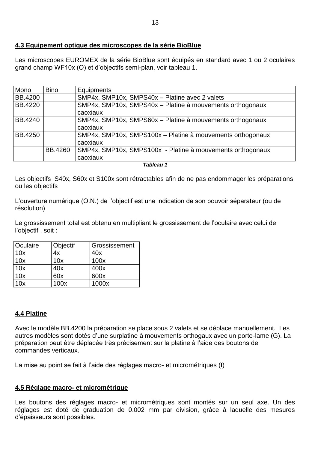#### **4.3 Equipement optique des microscopes de la série BioBlue**

Les microscopes EUROMEX de la série BioBlue sont équipés en standard avec 1 ou 2 oculaires grand champ WF10x (O) et d'objectifs semi-plan, voir tableau 1.

| Mono           | <b>Bino</b>    | Equipments                                                 |  |  |
|----------------|----------------|------------------------------------------------------------|--|--|
| <b>BB.4200</b> |                | SMP4x, SMP10x, SMPS40x - Platine avec 2 valets             |  |  |
| BB.4220        |                | SMP4x, SMP10x, SMPS40x - Platine à mouvements orthogonaux  |  |  |
|                |                | caoxiaux                                                   |  |  |
| BB.4240        |                | SMP4x, SMP10x, SMPS60x - Platine à mouvements orthogonaux  |  |  |
|                |                | caoxiaux                                                   |  |  |
| <b>BB.4250</b> |                | SMP4x, SMP10x, SMPS100x - Platine à mouvements orthogonaux |  |  |
|                |                | caoxiaux                                                   |  |  |
|                | <b>BB.4260</b> | SMP4x, SMP10x, SMPS100x - Platine à mouvements orthogonaux |  |  |
|                |                | caoxiaux                                                   |  |  |

*Tableau 1*

Les objectifs S40x, S60x et S100x sont rétractables afin de ne pas endommager les préparations ou les objectifs

L'ouverture numérique (O.N.) de l'objectif est une indication de son pouvoir séparateur (ou de résolution)

Le grossissement total est obtenu en multipliant le grossissement de l'oculaire avec celui de l'objectif , soit :

| Oculaire | Objectif | Grossissement |
|----------|----------|---------------|
| 10x      | 4x       | 40x           |
| 10x      | 10x      | 100x          |
| 10x      | 40x      | 400x          |
| 10x      | 60x      | 600x          |
| 10x      | 100x     | 1000x         |

## **4.4 Platine**

Avec le modèle BB.4200 la préparation se place sous 2 valets et se déplace manuellement. Les autres modèles sont dotés d'une surplatine à mouvements orthogaux avec un porte-lame (G). La préparation peut être déplacée très précisement sur la platine à l'aide des boutons de commandes verticaux.

La mise au point se fait à l'aide des réglages macro- et micrométriques (I)

## **4.5 Réglage macro- et micrométrique**

Les boutons des réglages macro- et micromètriques sont montés sur un seul axe. Un des réglages est doté de graduation de 0.002 mm par division, grâce à laquelle des mesures d'épaisseurs sont possibles.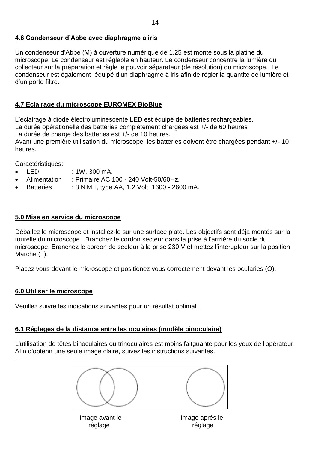#### **4.6 Condenseur d'Abbe avec diaphragme à iris**

Un condenseur d'Abbe (M) à ouverture numérique de 1.25 est monté sous la platine du microscope. Le condenseur est réglable en hauteur. Le condenseur concentre la lumière du collecteur sur la préparation et règle le pouvoir séparateur (de résolution) du microscope. Le condenseur est également équipé d'un diaphragme à iris afin de régler la quantité de lumière et d'un porte filtre.

## **4.7 Eclairage du microscope EUROMEX BioBlue**

L'éclairage à diode électroluminescente LED est équipé de batteries rechargeables. La durée opérationelle des batteries complètement chargées est +/- de 60 heures La durée de charge des batteries est +/- de 10 heures.

Avant une première utilisation du microscope, les batteries doivent être chargées pendant +/- 10 heures.

Caractéristiques:

- LED : 1W, 300 mA.
- Alimentation : Primaire AC 100 240 Volt-50/60Hz.
- Batteries : 3 NiMH, type AA, 1.2 Volt 1600 2600 mA.

#### **5.0 Mise en service du microscope**

Déballez le microscope et installez-le sur une surface plate. Les objectifs sont déja montés sur la tourelle du microscope. Branchez le cordon secteur dans la prise à l'arrrière du socle du microscope. Branchez le cordon de secteur à la prise 230 V et mettez l'interupteur sur la position Marche ( I).

Placez vous devant le microscope et positionez vous correctement devant les ocularies (O).

#### **6.0 Utiliser le microscope**

.

Veuillez suivre les indications suivantes pour un résultat optimal .

## **6.1 Réglages de la distance entre les oculaires (modèle binoculaire)**

L'utilisation de têtes binoculaires ou trinoculaires est moins faitguante pour les yeux de l'opérateur. Afin d'obtenir une seule image claire, suivez les instructions suivantes.

Image avant le **Image après le** réglage réglage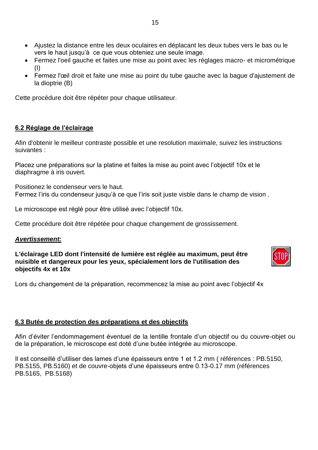- Ajustez la distance entre les deux oculaires en déplacant les deux tubes vers le bas ou le vers le haut jusqu'à ce que vous obteniez une seule image.
- Fermez l'oeil gauche et faites une mise au point avec les réglages macro- et micrométrique (I)
- Fermez l'œil droit et faite une mise au point du tube gauche avec la bague d'ajustement de la dioptrie (B)

Cette procédure doit être répéter pour chaque utilisateur.

## **6.2 Réglage de l'éclairage**

Afin d'obtenir le meilleur contraste possible et une resolution maximale, suivez les instructions suivantes :

Placez une préparations sur la platine et faites la mise au point avec l'objectif 10x et le diaphragme à iris ouvert.

Positionez le condenseur vers le haut. Fermez l'iris du condenseur jusqu'à ce que l'iris soit juste visble dans le champ de vision .

Le microscope est réglé pour être utilisé avec l'objectif 10x.

Cette procédure doit être répétée pour chaque changement de grossissement.

#### *Avertissement:*

**L'éclairage LED dont l'intensité de lumière est réglée au maximum, peut être nuisible et dangereux pour les yeux, spécialement lors de l'utilisation des objectifs 4x et 10x**



Lors du changement de la préparation, recommencez la mise au point avec l'objectif 4x

#### **6.3 Butée de protection des préparations et des objectifs**

Afin d'éviter l'endommagement éventuel de la lentille frontale d'un objectif ou du couvre-objet ou de la préparation, le microscope est doté d'une butée intégrée au microscope.

Il est conseillé d'utiliser des lames d'une épaisseurs entre 1 et 1.2 mm ( références : PB.5150, PB.5155, PB.5160) et de couvre-objets d'une épaisseurs entre 0.13-0.17 mm (références PB.5165, PB.5168)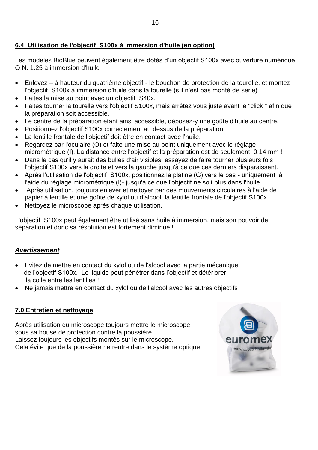## **6.4 Utilisation de l'objectif S100x à immersion d'huile (en option)**

Les modèles BioBlue peuvent également être dotés d'un objectif S100x avec ouverture numérique O.N. 1.25 à immersion d'huile

- Enlevez à hauteur du quatrième objectif le bouchon de protection de la tourelle, et montez l'objectif S100x à immersion d'huile dans la tourelle (s'il n'est pas monté de série)
- Faites la mise au point avec un objectif S40x.
- Faites tourner la tourelle vers l'objectif S100x, mais arrêtez vous juste avant le "click " afin que la préparation soit accessible.
- Le centre de la préparation étant ainsi accessible, déposez-y une goûte d'huile au centre.
- Positionnez l'objectif S100x correctement au dessus de la préparation.
- La lentille frontale de l'objectif doit être en contact avec l'huile.
- Regardez par l'oculaire (O) et faite une mise au point uniquement avec le réglage micrométrique (I). La distance entre l'objectif et la préparation est de seulement 0.14 mm !
- Dans le cas qu'il y aurait des bulles d'air visibles, essayez de faire tourner plusieurs fois l'objectif S100x vers la droite et vers la gauche jusqu'à ce que ces derniers disparaissent.
- Après l'utilisation de l'objectif S100x, positionnez la platine (G) vers le bas uniquement à l'aide du réglage micrométrique (I)- jusqu'à ce que l'objectif ne soit plus dans l'huile.
- Après utilisation, toujours enlever et nettoyer par des mouvements circulaires à l'aide de papier à lentille et une goûte de xylol ou d'alcool, la lentille frontale de l'objectif S100x.
- Nettoyez le microscope après chaque utilisation.

L'objectif S100x peut également être utilisé sans huile à immersion, mais son pouvoir de séparation et donc sa résolution est fortement diminué !

## *Avertissement*

.

- Evitez de mettre en contact du xylol ou de l'alcool avec la partie mécanique de l'objectif S100x. Le liquide peut pénétrer dans l'objectif et détériorer la colle entre les lentilles !
- Ne jamais mettre en contact du xylol ou de l'alcool avec les autres objectifs

## **7.0 Entretien et nettoyage**

Après utilisation du microscope toujours mettre le microscope sous sa house de protection contre la poussière. Laissez toujours les objectifs montés sur le microscope. Cela évite que de la poussière ne rentre dans le système optique.

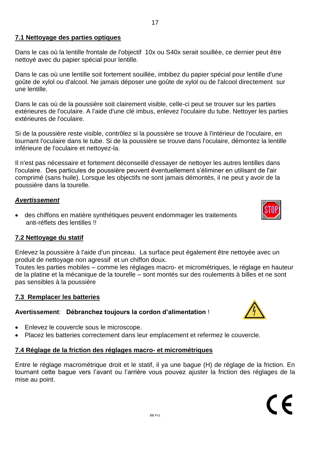#### **7.1 Nettoyage des parties optiques**

Dans le cas où la lentille frontale de l'objectif 10x ou S40x serait souillée, ce dernier peut être nettoyé avec du papier spécial pour lentille.

Dans le cas où une lentille soit fortement souillée, imbibez du papier spécial pour lentille d'une goûte de xylol ou d'alcool. Ne jamais déposer une goûte de xylol ou de l'alcool directement sur une lentille.

Dans le cas où de la poussière soit clairement visible, celle-ci peut se trouver sur les parties extérieures de l'oculaire. A l'aide d'une clé imbus, enlevez l'oculaire du tube. Nettoyer les parties extérieures de l'oculaire.

Si de la poussière reste visible, contrôlez si la poussière se trouve à l'intérieur de l'oculaire, en tournant l'oculaire dans le tube. Si de la poussière se trouve dans l'oculaire, démontez la lentille inférieure de l'oculaire et nettoyez-la.

Il n'est pas nécessaire et fortement déconseillé d'essayer de nettoyer les autres lentilles dans l'oculaire. Des particules de poussière peuvent éventuellement s'éliminer en utilisant de l'air comprimé (sans huile). Lorsque les objectifs ne sont jamais démontés, il ne peut y avoir de la poussière dans la tourelle.

#### *Avertissement*

 des chiffons en matière synthétiques peuvent endommager les traitements anti-réflets des lentilles !!

#### **7.2 Nettoyage du statif**

Enlevez la poussière à l'aide d'un pinceau. La surface peut également être nettoyée avec un produit de nettoyage non agressif et un chiffon doux.

Toutes les parties mobiles – comme les réglages macro- et micrométriques, le réglage en hauteur de la platine et la mécanique de la tourelle – sont montés sur des roulements à billes et ne sont pas sensibles à la poussière

#### **7.3 Remplacer les batteries**

#### **Avertissement**: **Débranchez toujours la cordon d'alimentation** !

- Enlevez le couvercle sous le microscope.
- Placez les batteries correctement dans leur emplacement et refermez le couvercle.

#### **7.4 Réglage de la friction des réglages macro- et micrométriques**

Entre le réglage macrométrique droit et le statif, il ya une bague (H) de réglage de la friction. En tournant cette bague vers l'avant ou l'arrière vous pouvez ajuster la friction des réglages de la mise au point.

BB Fv1

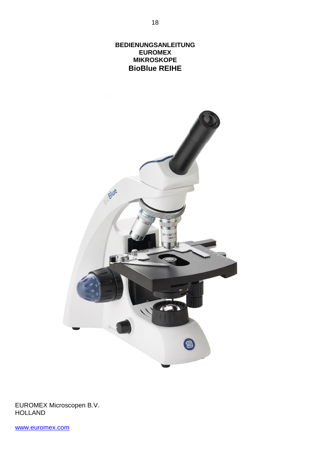**BEDIENUNGSANLEITUNG EUROMEX MIKROSKOPE BioBlue REIHE**



EUROMEX Microscopen B.V. HOLLAND

[www.euromex.com](http://www.euromex.nl/)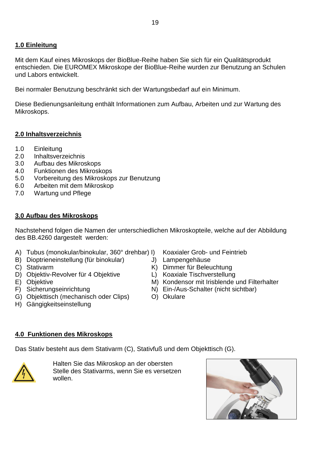## **1.0 Einleitung**

Mit dem Kauf eines Mikroskops der BioBlue-Reihe haben Sie sich für ein Qualitätsprodukt entschieden. Die EUROMEX Mikroskope der BioBlue-Reihe wurden zur Benutzung an Schulen und Labors entwickelt.

Bei normaler Benutzung beschränkt sich der Wartungsbedarf auf ein Minimum.

Diese Bedienungsanleitung enthält Informationen zum Aufbau, Arbeiten und zur Wartung des Mikroskops.

## **2.0 Inhaltsverzeichnis**

- 1.0 Einleitung
- 2.0 Inhaltsverzeichnis
- 3.0 Aufbau des Mikroskops
- 4.0 Funktionen des Mikroskops
- 5.0 Vorbereitung des Mikroskops zur Benutzung
- 6.0 Arbeiten mit dem Mikroskop
- 7.0 Wartung und Pflege

#### **3.0 Aufbau des Mikroskops**

Nachstehend folgen die Namen der unterschiedlichen Mikroskopteile, welche auf der Abbildung des BB.4260 dargestelt werden:

- A) Tubus (monokular/binokular, 360° drehbar) I) Koaxialer Grob- und Feintrieb
- B) Dioptrieneinstellung (für binokular) J) Lampengehäuse<br>C) Stativarm K) Dimmer für Beleu
- 
- D) Objektiv-Revolver für 4 Objektive L) Koaxiale Tischverstellung<br>E) Objektive M) Kondensor mit Irisblende
- 
- 
- G) Objekttisch (mechanisch oder Clips) O) Okulare
- H) Gängigkeitseinstellung
- 
- 
- $K$ ) Dimmer für Beleuchtung
- 
- M) Kondensor mit Irisblende und Filterhalter
- F) Sicherungseinrichtung N) Ein-/Aus-Schalter (nicht sichtbar)
	-

#### **4.0 Funktionen des Mikroskops**

Das Stativ besteht aus dem Stativarm (C), Stativfuß und dem Objekttisch (G).



Halten Sie das Mikroskop an der obersten Stelle des Stativarms, wenn Sie es versetzen wollen.

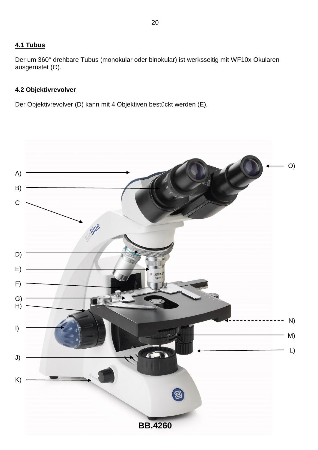## **4.1 Tubus**

Der um 360° drehbare Tubus (monokular oder binokular) ist werksseitig mit WF10x Okularen ausgerüstet (O).

## **4.2 Objektivrevolver**

Der Objektivrevolver (D) kann mit 4 Objektiven bestückt werden (E).

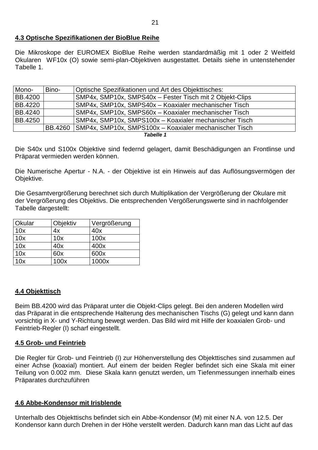#### **4.3 Optische Spezifikationen der BioBlue Reihe**

Die Mikroskope der EUROMEX BioBlue Reihe werden standardmäßig mit 1 oder 2 Weitfeld Okularen WF10x (O) sowie semi-plan-Objektiven ausgestattet. Details siehe in untenstehender Tabelle 1.

| Mono-          | Bino- | Optische Spezifikationen und Art des Objekttisches:              |  |
|----------------|-------|------------------------------------------------------------------|--|
| <b>BB.4200</b> |       | SMP4x, SMP10x, SMPS40x - Fester Tisch mit 2 Objekt-Clips         |  |
| <b>BB.4220</b> |       | SMP4x, SMP10x, SMPS40x - Koaxialer mechanischer Tisch            |  |
| BB.4240        |       | SMP4x, SMP10x, SMPS60x - Koaxialer mechanischer Tisch            |  |
| BB.4250        |       | SMP4x, SMP10x, SMPS100x - Koaxialer mechanischer Tisch           |  |
|                |       | BB.4260   SMP4x, SMP10x, SMPS100x - Koaxialer mechanischer Tisch |  |
| Tabelle 1      |       |                                                                  |  |

Die S40x und S100x Objektive sind federnd gelagert, damit Beschädigungen an Frontlinse und Präparat vermieden werden können.

Die Numerische Apertur - N.A. - der Objektive ist ein Hinweis auf das Auflösungsvermögen der Objektive.

Die Gesamtvergrößerung berechnet sich durch Multiplikation der Vergrößerung der Okulare mit der Vergrößerung des Objektivs. Die entsprechenden Vergößerungswerte sind in nachfolgender Tabelle dargestellt:

| Okular | Objektiv | Vergrößerung |
|--------|----------|--------------|
| 10x    | 4x       | 40x          |
| 10x    | 10x      | 100x         |
| 10x    | 40x      | 400x         |
| 10x    | 60x      | 600x         |
| 10x    | 100x     | 1000x        |

## **4.4 Objekttisch**

Beim BB.4200 wird das Präparat unter die Objekt-Clips gelegt. Bei den anderen Modellen wird das Präparat in die entsprechende Halterung des mechanischen Tischs (G) gelegt und kann dann vorsichtig in X- und Y-Richtung bewegt werden. Das Bild wird mit Hilfe der koaxialen Grob- und Feintrieb-Regler (I) scharf eingestellt.

#### **4.5 Grob- und Feintrieb**

Die Regler für Grob- und Feintrieb (I) zur Höhenverstellung des Objekttisches sind zusammen auf einer Achse (koaxial) montiert. Auf einem der beiden Regler befindet sich eine Skala mit einer Teilung von 0.002 mm. Diese Skala kann genutzt werden, um Tiefenmessungen innerhalb eines Präparates durchzuführen

#### **4.6 Abbe-Kondensor mit Irisblende**

Unterhalb des Objekttischs befindet sich ein Abbe-Kondensor (M) mit einer N.A. von 12.5. Der Kondensor kann durch Drehen in der Höhe verstellt werden. Dadurch kann man das Licht auf das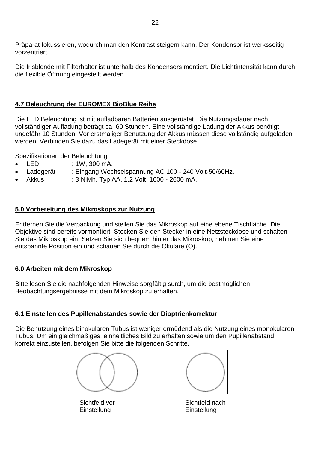Präparat fokussieren, wodurch man den Kontrast steigern kann. Der Kondensor ist werksseitig vorzentriert.

Die Irisblende mit Filterhalter ist unterhalb des Kondensors montiert. Die Lichtintensität kann durch die flexible Öffnung eingestellt werden.

## **4.7 Beleuchtung der EUROMEX BioBlue Reihe**

Die LED Beleuchtung ist mit aufladbaren Batterien ausgerüstet Die Nutzungsdauer nach vollständiger Aufladung beträgt ca. 60 Stunden. Eine vollständige Ladung der Akkus benötigt ungefähr 10 Stunden. Vor erstmaliger Benutzung der Akkus müssen diese vollständig aufgeladen werden. Verbinden Sie dazu das Ladegerät mit einer Steckdose.

Spezifikationen der Beleuchtung:

- LED : 1W, 300 mA.
- Ladegerät : Eingang Wechselspannung AC 100 240 Volt-50/60Hz.
- Akkus : 3 NiMh, Typ AA, 1.2 Volt 1600 2600 mA.

## **5.0 Vorbereitung des Mikroskops zur Nutzung**

Entfernen Sie die Verpackung und stellen Sie das Mikroskop auf eine ebene Tischfläche. Die Objektive sind bereits vormontiert. Stecken Sie den Stecker in eine Netzsteckdose und schalten Sie das Mikroskop ein. Setzen Sie sich bequem hinter das Mikroskop, nehmen Sie eine entspannte Position ein und schauen Sie durch die Okulare (O).

## **6.0 Arbeiten mit dem Mikroskop**

Bitte lesen Sie die nachfolgenden Hinweise sorgfältig surch, um die bestmöglichen Beobachtungsergebnisse mit dem Mikroskop zu erhalten.

## **6.1 Einstellen des Pupillenabstandes sowie der Dioptrienkorrektur**

Die Benutzung eines binokularen Tubus ist weniger ermüdend als die Nutzung eines monokularen Tubus. Um ein gleichmäßiges, einheitliches Bild zu erhalten sowie um den Pupillenabstand korrekt einzustellen, befolgen Sie bitte die folgenden Schritte.



Einstellung Einstellung

Sichtfeld vor Sichtfeld nach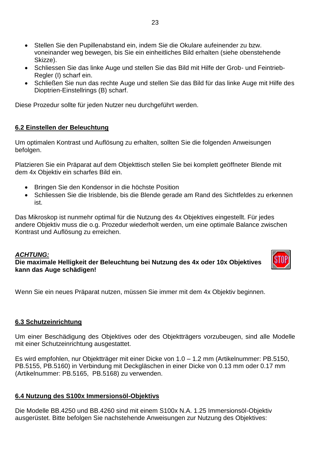- Stellen Sie den Pupillenabstand ein, indem Sie die Okulare aufeinender zu bzw. voneinander weg bewegen, bis Sie ein einheitliches Bild erhalten (siehe obenstehende Skizze).
- Schliessen Sie das linke Auge und stellen Sie das Bild mit Hilfe der Grob- und Feintrieb-Regler (I) scharf ein.
- Schließen Sie nun das rechte Auge und stellen Sie das Bild für das linke Auge mit Hilfe des Dioptrien-Einstellrings (B) scharf.

Diese Prozedur sollte für jeden Nutzer neu durchgeführt werden.

#### **6.2 Einstellen der Beleuchtung**

Um optimalen Kontrast und Auflösung zu erhalten, sollten Sie die folgenden Anweisungen befolgen.

Platzieren Sie ein Präparat auf dem Objekttisch stellen Sie bei komplett geöffneter Blende mit dem 4x Objektiv ein scharfes Bild ein.

- Bringen Sie den Kondensor in die höchste Position
- Schliessen Sie die Irisblende, bis die Blende gerade am Rand des Sichtfeldes zu erkennen ist.

Das Mikroskop ist nunmehr optimal für die Nutzung des 4x Objektives eingestellt. Für jedes andere Objektiv muss die o.g. Prozedur wiederholt werden, um eine optimale Balance zwischen Kontrast und Auflösung zu erreichen.

#### *ACHTUNG:*

**Die maximale Helligkeit der Beleuchtung bei Nutzung des 4x oder 10x Objektives kann das Auge schädigen!**



Wenn Sie ein neues Präparat nutzen, müssen Sie immer mit dem 4x Objektiv beginnen.

#### **6.3 Schutzeinrichtung**

Um einer Beschädigung des Objektives oder des Objektträgers vorzubeugen, sind alle Modelle mit einer Schutzeinrichtung ausgestattet.

Es wird empfohlen, nur Objektträger mit einer Dicke von 1.0 – 1.2 mm (Artikelnummer: PB.5150, PB.5155, PB.5160) in Verbindung mit Deckgläschen in einer Dicke von 0.13 mm oder 0.17 mm (Artikelnummer: PB.5165, PB.5168) zu verwenden.

#### **6.4 Nutzung des S100x Immersionsöl-Objektivs**

Die Modelle BB.4250 und BB.4260 sind mit einem S100x N.A. 1.25 Immersionsöl-Objektiv ausgerüstet. Bitte befolgen Sie nachstehende Anweisungen zur Nutzung des Objektives: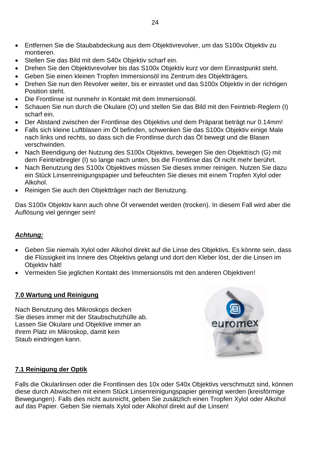- Entfernen Sie die Staubabdeckung aus dem Objektivrevolver, um das S100x Objektiv zu montieren.
- Stellen Sie das Bild mit dem S40x Objektiv scharf ein.
- Drehen Sie den Objektivrevolver bis das S100x Objektiv kurz vor dem Einrastpunkt steht.
- Geben Sie einen kleinen Tropfen Immersionsöl ins Zentrum des Objektträgers.
- Drehen Sie nun den Revolver weiter, bis er einrastet und das S100x Objektiv in der richtigen Position steht.
- Die Frontlinse ist nunmehr in Kontakt mit dem Immersionsöl.
- Schauen Sie nun durch die Okulare (O) und stellen Sie das Bild mit den Feintrieb-Reglern (I) scharf ein.
- Der Abstand zwischen der Frontlinse des Objektivs und dem Präparat beträgt nur 0.14mm!
- Falls sich kleine Luftblasen im Öl befinden, schwenken Sie das S100x Objektiv einige Male nach links und rechts, so dass sich die Frontlinse durch das Öl bewegt und die Blasen verschwinden.
- Nach Beendigung der Nutzung des S100x Objektivs, bewegen Sie den Objekttisch (G) mit dem Feintriebregler (I) so lange nach unten, bis die Frontlinse das Öl nicht mehr berührt.
- Nach Benutzung des S100x Objektives müssen Sie dieses immer reinigen. Nutzen Sie dazu ein Stück Linsenreinigungspapier und befeuchten Sie dieses mit einem Tropfen Xylol oder Alkohol.
- Reinigen Sie auch den Objektträger nach der Benutzung.

Das S100x Objektiv kann auch ohne Öl verwendet werden (trocken). In diesem Fall wird aber die Auflösung viel geringer sein!

## *Achtung:*

- Geben Sie niemals Xylol oder Alkohol direkt auf die Linse des Objektivs. Es könnte sein, dass die Flüssigkeit ins Innere des Objektivs gelangt und dort den Kleber löst, der die Linsen im Objektiv hält!
- Vermeiden Sie jeglichen Kontakt des Immersionsöls mit den anderen Objektiven!

#### **7.0 Wartung und Reinigung**

Nach Benutzung des Mikroskops decken Sie dieses immer mit der Staubschutzhülle ab. Lassen Sie Okulare und Objektive immer an ihrem Platz im Mikroskop, damit kein Staub eindringen kann.



## **7.1 Reinigung der Optik**

Falls die Okularlinsen oder die Frontlinsen des 10x oder S40x Objektivs verschmutzt sind, können diese durch Abwischen mit einem Stück Linsenreinigungspapier gereinigt werden (kreisförmige Bewegungen). Falls dies nicht ausreicht, geben Sie zusätzlich einen Tropfen Xylol oder Alkohol auf das Papier. Geben Sie niemals Xylol oder Alkohol direkt auf die Linsen!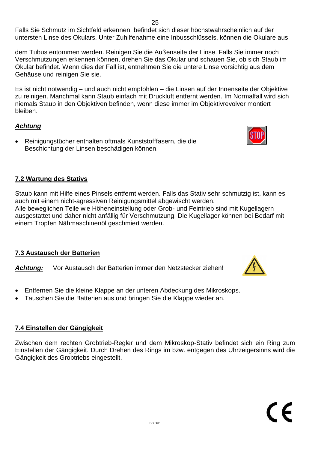Falls Sie Schmutz im Sichtfeld erkennen, befindet sich dieser höchstwahrscheinlich auf der untersten Linse des Okulars. Unter Zuhilfenahme eine Inbusschlüssels, können die Okulare aus

dem Tubus entommen werden. Reinigen Sie die Außenseite der Linse. Falls Sie immer noch Verschmutzungen erkennen können, drehen Sie das Okular und schauen Sie, ob sich Staub im Okular befindet. Wenn dies der Fall ist, entnehmen Sie die untere Linse vorsichtig aus dem Gehäuse und reinigen Sie sie.

Es ist nicht notwendig – und auch nicht empfohlen – die Linsen auf der Innenseite der Objektive zu reinigen. Manchmal kann Staub einfach mit Druckluft entfernt werden. Im Normalfall wird sich niemals Staub in den Objektiven befinden, wenn diese immer im Objektivrevolver montiert bleiben.

## *Achtung*

 Reinigungstücher enthalten oftmals Kunststofffasern, die die Beschichtung der Linsen beschädigen können!

## **7.2 Wartung des Stativs**

Staub kann mit Hilfe eines Pinsels entfernt werden. Falls das Stativ sehr schmutzig ist, kann es auch mit einem nicht-agressiven Reinigungsmittel abgewischt werden.

Alle beweglichen Teile wie Höheneinstellung oder Grob- und Feintrieb sind mit Kugellagern ausgestattet und daher nicht anfällig für Verschmutzung. Die Kugellager können bei Bedarf mit einem Tropfen Nähmaschinenöl geschmiert werden.

## **7.3 Austausch der Batterien**

*Achtung:* Vor Austausch der Batterien immer den Netzstecker ziehen!

- Entfernen Sie die kleine Klappe an der unteren Abdeckung des Mikroskops.
- Tauschen Sie die Batterien aus und bringen Sie die Klappe wieder an.

## **7.4 Einstellen der Gängigkeit**

Zwischen dem rechten Grobtrieb-Regler und dem Mikroskop-Stativ befindet sich ein Ring zum Einstellen der Gängigkeit. Durch Drehen des Rings im bzw. entgegen des Uhrzeigersinns wird die Gängigkeit des Grobtriebs eingestellt.





C E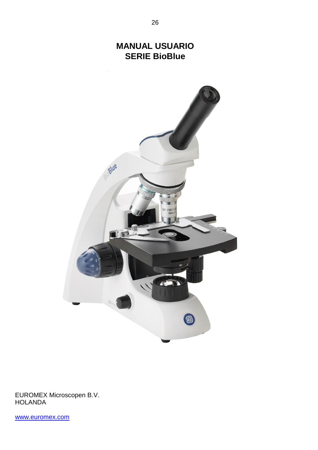# **MANUAL USUARIO SERIE BioBlue**



EUROMEX Microscopen B.V. **HOLANDA** 

[www.euromex.com](http://www.euromex.nl/)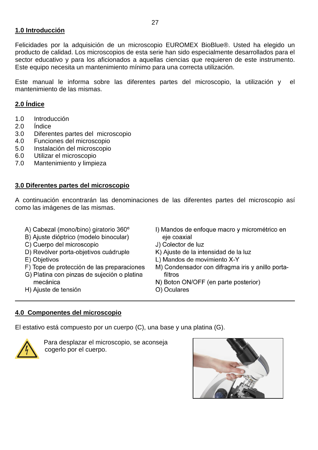#### **1.0 Introducción**

Felicidades por la adquisición de un microscopio EUROMEX BioBlue®. Usted ha elegido un producto de calidad. Los microscopios de esta serie han sido especialmente desarrollados para el sector educativo y para los aficionados a aquellas ciencias que requieren de este instrumento. Este equipo necesita un mantenimiento mínimo para una correcta utilización.

Este manual le informa sobre las diferentes partes del microscopio, la utilización y el mantenimiento de las mismas.

## **2.0 Índice**

- 1.0 Introducción
- 2.0 Índice
- 3.0 Diferentes partes del microscopio
- 4.0 Funciones del microscopio
- 5.0 Instalación del microscopio
- 6.0 Utilizar el microscopio
- 7.0 Mantenimiento y limpieza

#### **3.0 Diferentes partes del microscopio**

A continuación encontrarán las denominaciones de las diferentes partes del microscopio así como las imágenes de las mismas.

- A) Cabezal (mono/bino) giratorio 360°
- B) Ajuste dióptrico (modelo binocular)
- C) Cuerpo del microscopio
- D) Revólver porta-objetivos cuádruple
- E) Objetivos
- F) Tope de protección de las preparaciones
- G) Platina con pinzas de sujeción o platina mecánica
- H) Ajuste de tensión
- I) Mandos de enfoque macro y micrométrico en eje coaxial
- J) Colector de luz
- K) Ajuste de la intensidad de la luz
- L) Mandos de movimiento X-Y
- M) Condensador con difragma iris y anillo portafiltros
- N) Boton ON/OFF (en parte posterior)
- O) Oculares

## **4.0 Componentes del microscopio**

El estativo está compuesto por un cuerpo (C), una base y una platina (G).



 Para desplazar el microscopio, se aconseja cogerlo por el cuerpo.

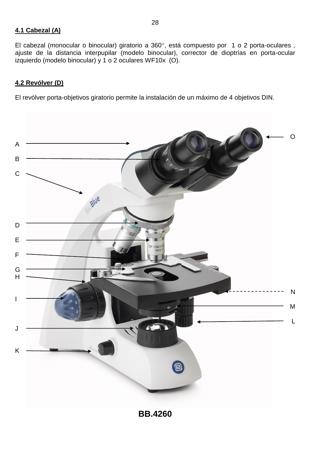#### **4.1 Cabezal (A)**

El cabezal (monocular o binocular) giratorio a 360°, está compuesto por 1 o 2 porta-oculares, ajuste de la distancia interpupilar (modelo binocular), corrector de dioptrías en porta-ocular izquierdo (modelo binocular) y 1 o 2 oculares WF10x (O).

28

## **4.2 Revólver (D)**

El revólver porta-objetivos giratorio permite la instalación de un máximo de 4 objetivos DIN.

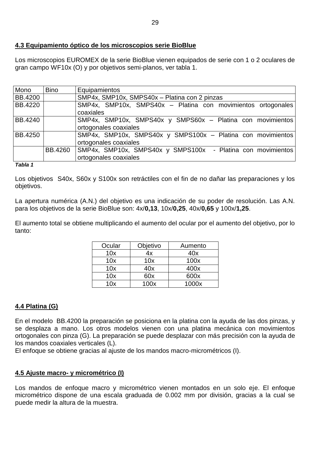#### **4.3 Equipamiento óptico de los microscopios serie BioBlue**

Los microscopios EUROMEX de la serie BioBlue vienen equipados de serie con 1 o 2 oculares de gran campo WF10x (O) y por objetivos semi-planos, ver tabla 1.

| Mono           | <b>Bino</b> | Equipamientos                                                |  |  |
|----------------|-------------|--------------------------------------------------------------|--|--|
| <b>BB.4200</b> |             | SMP4x, SMP10x, SMPS40x - Platina con 2 pinzas                |  |  |
| <b>BB.4220</b> |             | SMP4x, SMP10x, SMPS40x - Platina con movimientos ortogonales |  |  |
|                |             | coaxiales                                                    |  |  |
| <b>BB.4240</b> |             | SMP4x, SMP10x, SMPS40x y SMPS60x - Platina con movimientos   |  |  |
|                |             | ortogonales coaxiales                                        |  |  |
| <b>BB.4250</b> |             | SMP4x, SMP10x, SMPS40x y SMPS100x - Platina con movimientos  |  |  |
|                |             | ortogonales coaxiales                                        |  |  |
|                | BB.4260     | SMP4x, SMP10x, SMPS40x y SMPS100x - Platina con movimientos  |  |  |
|                |             | ortogonales coaxiales                                        |  |  |

#### *Tabla 1*

Los objetivos S40x, S60x y S100x son retráctiles con el fin de no dañar las preparaciones y los objetivos.

La apertura numérica (A.N.) del objetivo es una indicación de su poder de resolución. Las A.N. para los objetivos de la serie BioBlue son: 4x/**0,13**, 10x/**0,25**, 40x/**0,65** y 100x/**1,25**.

El aumento total se obtiene multiplicando el aumento del ocular por el aumento del objetivo, por lo tanto:

| Ocular | Objetivo | Aumento |
|--------|----------|---------|
| 10x    | 4x       | 40x     |
| 10x    | 10x      | 100x    |
| 10x    | 40x      | 400x    |
| 10x    | 60x      | 600x    |
| 10x    | 100x     | 1000x   |

## **4.4 Platina (G)**

En el modelo BB.4200 la preparación se posiciona en la platina con la ayuda de las dos pinzas, y se desplaza a mano. Los otros modelos vienen con una platina mecánica con movimientos ortogonales con pinza (G). La preparación se puede desplazar con más precisión con la ayuda de los mandos coaxiales verticales (L).

El enfoque se obtiene gracias al ajuste de los mandos macro-micrométricos (I).

#### **4.5 Ajuste macro- y micrométrico (I)**

Los mandos de enfoque macro y micrométrico vienen montados en un solo eje. El enfoque micrométrico dispone de una escala graduada de 0.002 mm por división, gracias a la cual se puede medir la altura de la muestra.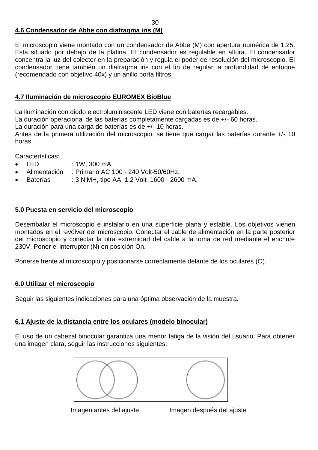## **4.6 Condensador de Abbe con diafragma iris (M)**

El microscopio viene montado con un condensador de Abbe (M) con apertura numérica de 1.25. Esta situado por debajo de la platina. El condensador es regulable en altura. El condensador concentra la luz del colector en la preparación y regula el poder de resolución del microscopio. El condensador tiene también un diafragma iris con el fin de regular la profundidad de enfoque (recomendado con objetivo 40x) y un anillo porta filtros.

#### **4.7 Iluminación de microscopio EUROMEX BioBlue**

La iluminación con diodo electroluminiscente LED viene con baterías recargables.

La duración operacional de las baterías completamente cargadas es de +/- 60 horas.

La duración para una carga de baterías es de +/- 10 horas.

Antes de la primera utilización del microscopio, se tiene que cargar las baterías durante +/- 10 horas.

Características:

- LED : 1W, 300 mA.
- Alimentación : Primario AC 100 240 Volt-50/60Hz.
- Baterías : 3 NiMH, tipo AA, 1.2 Volt 1600 2600 mA.

#### **5.0 Puesta en servicio del microscopio**

Desembalar el microscopio e instalarlo en una superficie plana y estable. Los objetivos vienen montados en el revólver del microscopio. Conectar el cable de alimentación en la parte posterior del microscopio y conectar la otra extremidad del cable a la toma de red mediante el enchufe 230V. Poner el interruptor (N) en posición On.

Ponerse frente al microscopio y posicionarse correctamente delante de los oculares (O).

#### **6.0 Utilizar el microscopio**

Seguir las siguientes indicaciones para una óptima observación de la muestra.

#### **6.1 Ajuste de la distancia entre los oculares (modelo binocular)**

El uso de un cabezal binocular garantiza una menor fatiga de la visión del usuario. Para obtener una imagen clara, seguir las instrucciones siguientes:



Imagen antes del ajuste **Imagen después del ajuste**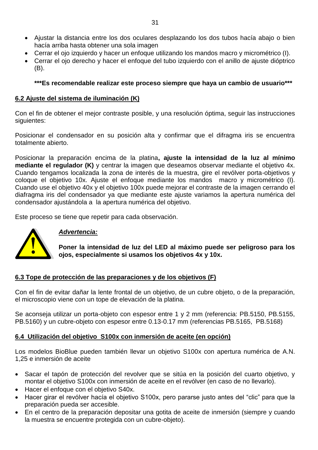- Ajustar la distancia entre los dos oculares desplazando los dos tubos hacía abajo o bien hacía arriba hasta obtener una sola imagen
- Cerrar el ojo izquierdo y hacer un enfoque utilizando los mandos macro y micrométrico (I).
- Cerrar el ojo derecho y hacer el enfoque del tubo izquierdo con el anillo de ajuste dióptrico (B).

## **\*\*\*Es recomendable realizar este proceso siempre que haya un cambio de usuario\*\*\***

#### **6.2 Ajuste del sistema de iluminación (K)**

Con el fin de obtener el mejor contraste posible, y una resolución óptima, seguir las instrucciones siguientes:

Posicionar el condensador en su posición alta y confirmar que el difragma iris se encuentra totalmente abierto.

Posicionar la preparación encima de la platina**, ajuste la intensidad de la luz al mínimo mediante el regulador (K)** y centrar la imagen que deseamos observar mediante el objetivo 4x. Cuando tengamos localizada la zona de interés de la muestra, gire el revólver porta-objetivos y coloque el objetivo 10x. Ajuste el enfoque mediante los mandos macro y micrométrico (I). Cuando use el objetivo 40x y el objetivo 100x puede mejorar el contraste de la imagen cerrando el diafragma iris del condensador ya que mediante este ajuste variamos la apertura numérica del condensador ajustándola a la apertura numérica del objetivo.

Este proceso se tiene que repetir para cada observación.



## *Advertencia:*

**Poner la intensidad de luz del LED al máximo puede ser peligroso para los ojos, especialmente si usamos los objetivos 4x y 10x.** 

#### **6.3 Tope de protección de las preparaciones y de los objetivos (F)**

Con el fin de evitar dañar la lente frontal de un objetivo, de un cubre objeto, o de la preparación, el microscopio viene con un tope de elevación de la platina.

Se aconseja utilizar un porta-objeto con espesor entre 1 y 2 mm (referencia: PB.5150, PB.5155, PB.5160) y un cubre-objeto con espesor entre 0.13-0.17 mm (referencias PB.5165, PB.5168)

#### **6.4 Utilización del objetivo S100x con inmersión de aceite (en opción)**

Los modelos BioBlue pueden también llevar un objetivo S100x con apertura numérica de A.N. 1,25 e inmersión de aceite

- Sacar el tapón de protección del revolver que se sitúa en la posición del cuarto objetivo, y montar el objetivo S100x con inmersión de aceite en el revólver (en caso de no llevarlo).
- Hacer el enfoque con el objetivo S40x.
- Hacer girar el revólver hacía el objetivo S100x, pero pararse justo antes del "clic" para que la preparación pueda ser accesible.
- En el centro de la preparación depositar una gotita de aceite de inmersión (siempre y cuando la muestra se encuentre protegida con un cubre-objeto).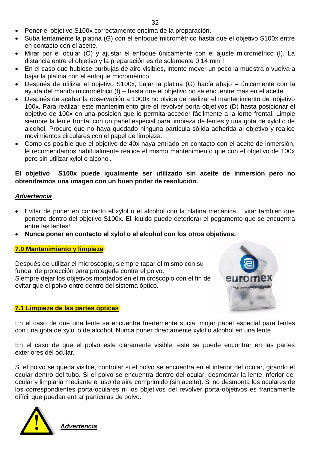- Poner el objetivo S100x correctamente encima de la preparación.
- Suba lentamente la platina (G) con el enfoque micrométrico hasta que el objetivo S100x entre en contacto con el aceite.
- Mirar por el ocular (O) y ajustar el enfoque únicamente con el ajuste micrométrico (I). La distancia entre el objetivo y la preparación es de solamente 0,14 mm !
- En el caso que hubiese burbujas de aire visibles, intente mover un poco la muestra o vuelva a bajar la platina con el enfoque micrométrico.
- Después de utilizar el objetivo S100x, bajar la platina (G) hacía abajo únicamente con la ayuda del mando micrométrico (I) – hasta que el objetivo no se encuentre más en el aceite.
- Después de acabar la observación a 1000x no olvide de realizar el mantenimiento del objetivo 100x. Para realizar este mantenimiento gire el revólver porta-objetivos (D) hasta posicionar el objetivo de 100x en una posición que le permita acceder fácilmente a la lente frontal. Limpie siempre la lente frontal con un papel especial para limpieza de lentes y una gota de xylol o de alcohol. Procure que no haya quedado ninguna partícula sólida adherida al objetivo y realice movimientos circulares con el papel de limpieza.
- Como es posible que el objetivo de 40x haya entrado en contacto con el aceite de inmersión, le recomendamos habitualmente realice el mismo mantenimiento que con el objetivo de 100x pero sin utilizar xylol o alcohol.

#### **El objetivo S100x puede igualmente ser utilizado sin aceite de inmersión pero no obtendremos una imagen con un buen poder de resolución.**

#### *Advertencia*

- Evitar de poner en contacto el xylol o el alcohol con la platina mecánica. Evitar también que penetre dentro del objetivo S100x. El liquido puede deteriorar el pegamento que se encuentra entre las lentes!
- **Nunca poner en contacto el xylol o el alcohol con los otros objetivos.**

#### **7.0 Mantenimiento y limpieza**

Después de utilizar el microscopio, siempre tapar el mismo con su funda de protección para protegerle contra el polvo. Siempre dejar los objetivos montados en el microscopio con el fin de evitar que el polvo entre dentro del sistema óptico.

#### **7.1 Limpieza de las partes ópticas**

En el caso de que una lente se encuentre fuertemente sucia, mojar papel especial para lentes con una gota de xylol o de alcohol. Nunca poner directamente xylol o alcohol en una lente.

nicroscope

En el caso de que el polvo este claramente visible, este se puede encontrar en las partes exteriores del ocular.

Si el polvo se queda visible, controlar si el polvo se encuentra en el interior del ocular, girando el ocular dentro del tubo. Si el polvo se encuentra dentro del ocular, desmontar la lente inferior del ocular y limpiarla mediante el uso de aire comprimido (sin aceite). Si no desmonta los oculares de los correspondientes porta-oculares ni los objetivos del revólver porta-objetivos es francamente difícil que puedan entrar partículas de polvo.



*Advertencia*